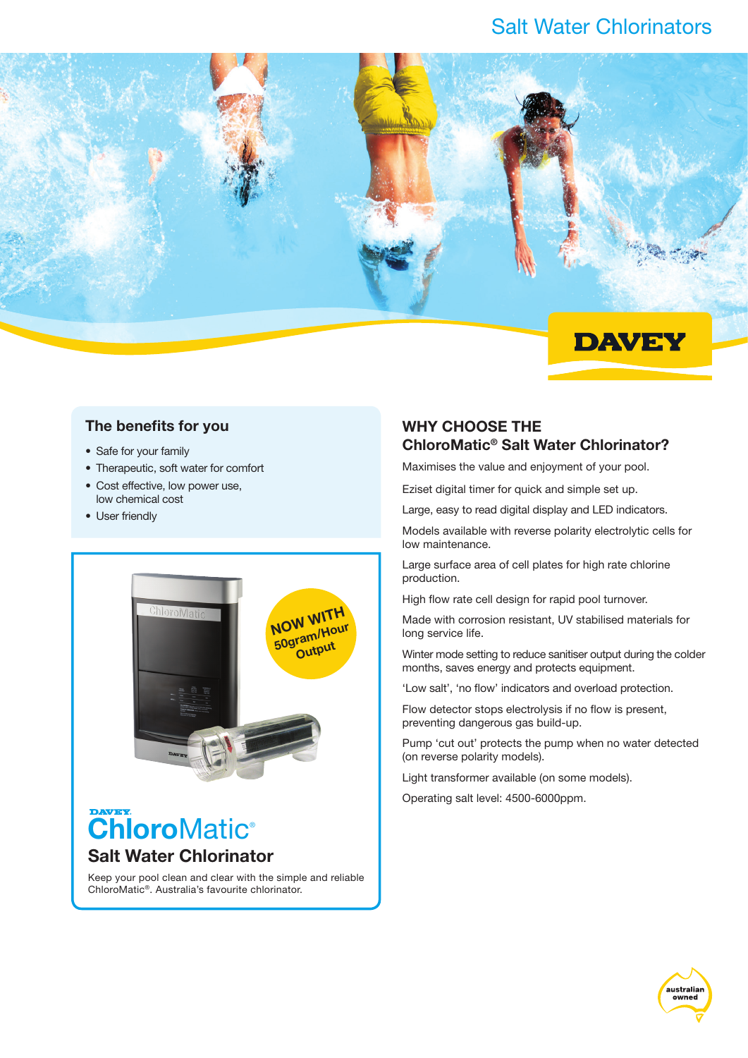## Salt Water Chlorinators



### The benefits for you

- Safe for your family
- Therapeutic, soft water for comfort
- Cost effective, low power use, low chemical cost
- User friendly



# **ChloroMatic®** Salt Water Chlorinator

Keep your pool clean and clear with the simple and reliable ChloroMatic®. Australia's favourite chlorinator.

### Why choose thE ChloroMatic® Salt Water Chlorinator?

Maximises the value and enjoyment of your pool.

Eziset digital timer for quick and simple set up.

Large, easy to read digital display and LED indicators.

Models available with reverse polarity electrolytic cells for low maintenance.

Large surface area of cell plates for high rate chlorine production.

High flow rate cell design for rapid pool turnover.

Made with corrosion resistant, UV stabilised materials for long service life.

Winter mode setting to reduce sanitiser output during the colder months, saves energy and protects equipment.

'Low salt', 'no flow' indicators and overload protection.

Flow detector stops electrolysis if no flow is present, preventing dangerous gas build-up.

Pump 'cut out' protects the pump when no water detected (on reverse polarity models).

Light transformer available (on some models).

Operating salt level: 4500-6000ppm.